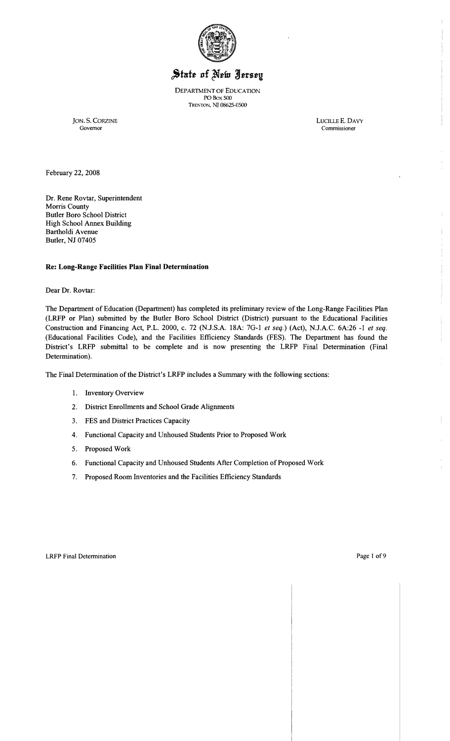

# State of New Jersey

DEPARTMENT OF EDUCATION POBox 500 TRENTON, NJ 08625-0500

JON. S. CORZINE LUCILLE E. DAVY Governor Commissioner

February 22,2008

Dr. Rene Rovtar, Superintendent Morris County Butler Boro School District High School Annex Building Bartholdi Avenue Butler, NJ 07405

## Re: Long-Range Facilities Plan Final Determination

Dear Dr. Rovtar:

The Department of Education (Department) has completed its preliminary review of the Long-Range Facilities Plan (LRFP or Plan) submitted by the Butler Boro School District (District) pursuant to the Educational Facilities Construction and Financing Act, P.L. 2000, c. 72 (N.J.S.A. 18A: 7G-1 *et seq.)* (Act), N.J.A.C. 6A:26 -1 *et seq.*  (Educational Facilities Code), and the Facilities Efficiency Standards (FES). The Department has found the District's LRFP submittal to be complete and is now presenting the LRFP Final Determination (Final Determination).

The Final Determination of the District's LRFP includes a Summary with the following sections:

- 1. Inventory Overview
- 2. District Enrollments and School Grade Alignments
- 3. FES and District Practices Capacity
- 4. Functional Capacity and Unhoused Students Prior to Proposed Work
- 5. Proposed Work
- 6. Functional Capacity and Unhoused Students After Completion of Proposed Work
- 7. Proposed Room Inventories and the Facilities Efficiency Standards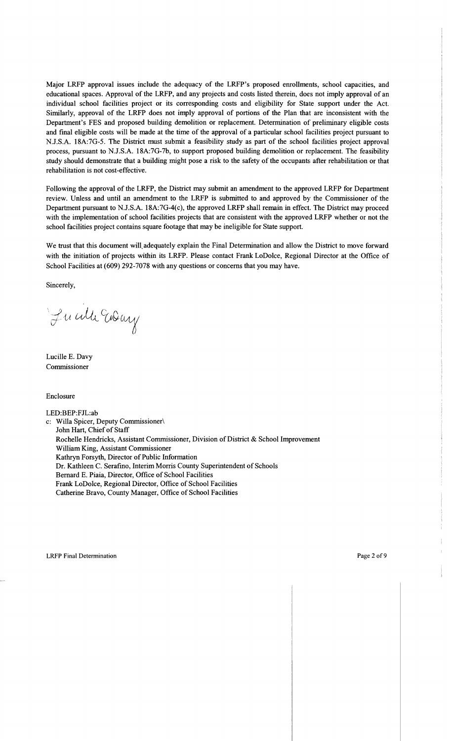Major LRFP approval issues include the adequacy of the LRFP's proposed enrollments, school capacities, and educational spaces. Approval of the LRFP, and any projects and costs listed therein, does not imply approval of an individual school facilities project or its corresponding costs and eligibility for State support under the Act. Similarly, approval of the LRFP does not imply approval of portions of the Plan that are inconsistent with the Department's FES and proposed building demolition or replacement. Determination of preliminary eligible costs and final eligible costs will be made at the time of the approval of a particular school facilities project pursuant to NJ.S.A. 18A:7G-5. The District must submit a feasibility study as part of the school facilities project approval process, pursuant to NJ.S.A. 18A:7G-7b, to support proposed building demolition or replacement. The feasibility study should demonstrate that a building might pose a risk to the safety of the occupants after rehabilitation or that rehabilitation is not cost-effective.

Following the approval of the LRFP, the District may submit an amendment to the approved LRFP for Department review. Unless and until an amendment to the LRFP is submitted to and approved by the Commissioner of the Department pursuant to NJ.S.A. 18A:7G-4(c), the approved LRFP shall remain in effect. The District may proceed with the implementation of school facilities projects that are consistent with the approved LRFP whether or not the school facilities project contains square footage that may be ineligible for State support.

We trust that this document will, adequately explain the Final Determination and allow the District to move forward with the initiation of projects within its LRFP. Please contact Frank LoDolce, Regional Director at the Office of School Facilities at (609) 292-7078 with any questions or concerns that you may have.

Sincerely,

Fu alle Endany

Lucille E. Davy Commissioner

Enclosure

LED:BEP:FJL:ab

c: Willa Spicer, Deputy Commissioner\ John Hart, Chief of Staff Rochelle Hendricks, Assistant Commissioner, Division of District & School Improvement William King, Assistant Commissioner Kathryn Forsyth, Director of Public Information Dr. Kathleen C. Serafino, Interim Morris County Superintendent of Schools Bernard E. Piaia, Director, Office of School Facilities Frank LoDolce, Regional Director, Office of School Facilities Catherine Bravo, County Manager, Office of School Facilities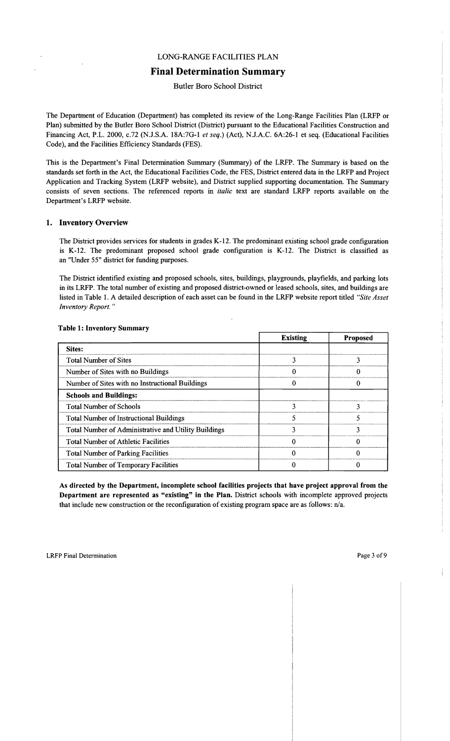# LONG-RANGE FACILITIES PLAN

# **Final Determination Summary**

Butler Boro School District

The Department of Education (Department) has completed its review of the Long-Range Facilities Plan (LRFP or Plan) submitted by the Butler Boro School District (District) pursuant to the Educational Facilities Construction and Financing Act, P.L. 2000, c.72 (N.J.S.A. 18A:7G-l *et seq.)* (Act), NJ.A.C. 6A:26-1 et seq. (Educational Facilities Code), and the Facilities Efficiency Standards (FES).

This is the Department's Final Determination Summary (Summary) of the LRFP. The Summary is based on the standards set forth in the Act, the Educational Facilities Code, the FES, District entered data in the LRFP and Project Application and Tracking System (LRFP website), and District supplied supporting documentation. The Summary consists of seven sections. The referenced reports in *italic* text are standard LRFP reports available on the Department's LRFP website.

#### 1. Inventory Overview

The District provides services for students in grades K-12. The predominant existing school grade configuration is K-12. The predominant proposed school grade configuration is K-12. The District is classified as an "Under 55" district for funding purposes.

The District identified existing and proposed schools, sites, buildings, playgrounds, playfields, and parking lots in its LRFP. The total number of existing and proposed district-owned or leased schools, sites, and buildings are listed in Table 1. A detailed description of each asset can be found in the LRFP website report titled *"Site Asset Inventory Report. "* 

|                                                      | <b>Existing</b> | <b>Proposed</b> |
|------------------------------------------------------|-----------------|-----------------|
| <b>Sites:</b>                                        |                 |                 |
| <b>Total Number of Sites</b>                         |                 |                 |
| Number of Sites with no Buildings                    |                 |                 |
| Number of Sites with no Instructional Buildings      |                 |                 |
| <b>Schools and Buildings:</b>                        |                 |                 |
| <b>Total Number of Schools</b>                       |                 |                 |
| <b>Total Number of Instructional Buildings</b>       |                 |                 |
| Total Number of Administrative and Utility Buildings |                 |                 |
| <b>Total Number of Athletic Facilities</b>           |                 | ∩               |
| <b>Total Number of Parking Facilities</b>            |                 | Ω               |
| <b>Total Number of Temporary Facilities</b>          |                 |                 |

#### Table 1: Inventory Summary

As directed by the Department, incomplete school facilities projects that have project approval from the Department are represented as "existing" in the Plan. District schools with incomplete approved projects that include new construction or the reconfiguration of existing program space are as follows: n/a.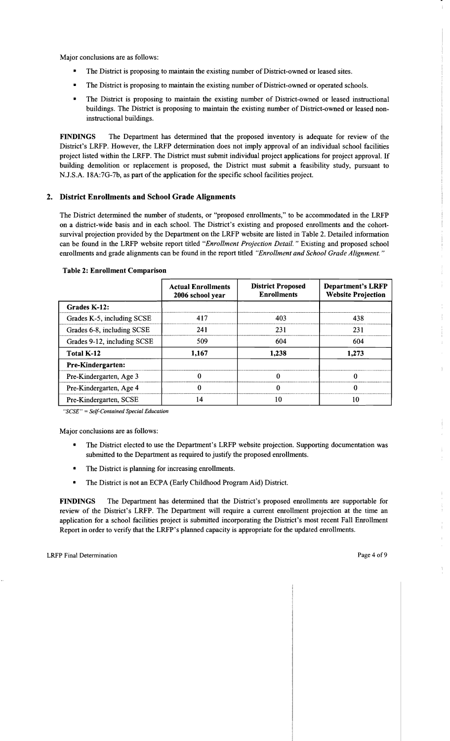Major conclusions are as follows:

- The District is proposing to maintain the existing number of District-owned or leased sites.
- The District is proposing to maintain the existing number of District-owned or operated schools.
- The District is proposing to maintain the existing number of District-owned or leased instructional buildings. The District is proposing to maintain the existing number of District-owned or leased noninstructional buildings.

FINDINGS The Department has determined that the proposed inventory is adequate for review of the District's LRFP. However, the LRFP determination does not imply approval of an individual school facilities project listed within the LRFP. The District must submit individual project applications for project approval. If building demolition or replacement is proposed, the District must submit a feasibility study, pursuant to NJ.S.A. 18A:7G-7b, as part of the application for the specific school facilities project.

# 2. District Enrollments and School Grade Alignments

The District determined the number of students, or "proposed emollments," to be accommodated in the LRFP on a district-wide basis and in each school. The District's existing and proposed enrollments and the cohortsurvival projection provided by the Department on the LRFP website are listed in Table 2. Detailed information can be found in the LRFP website report titled *"Enrollment Projection Detail.* " Existing and proposed school emollments and grade alignments can be found in the report titled *"Enrollment and School Grade Alignment. "* 

|                             | <b>Actual Enrollments</b><br>2006 school year | <b>District Proposed</b><br><b>Enrollments</b> | <b>Department's LRFP</b><br><b>Website Projection</b> |
|-----------------------------|-----------------------------------------------|------------------------------------------------|-------------------------------------------------------|
| Grades K-12:                |                                               |                                                |                                                       |
| Grades K-5, including SCSE  | 417                                           | 403                                            | 438                                                   |
| Grades 6-8, including SCSE  | 241                                           | 231                                            | 231                                                   |
| Grades 9-12, including SCSE | 509                                           | 604                                            | 604                                                   |
| Total K-12                  | 1.167                                         | 1.238                                          | 1.273                                                 |
| <b>Pre-Kindergarten:</b>    |                                               |                                                |                                                       |
| Pre-Kindergarten, Age 3     |                                               |                                                | 0                                                     |
| Pre-Kindergarten, Age 4     | 0                                             | 0                                              | 0                                                     |
| Pre-Kindergarten, SCSE      | 14                                            | 10                                             | 10                                                    |

#### Table 2: Enrollment Comparison

*"SCSE"* = *Self-Contained Special Education* 

Major conclusions are as follows:

- The District elected to use the Department's LRFP website projection. Supporting documentation was submitted to the Department as required to justify the proposed emollments.
- The District is planning for increasing enrollments.
- The District is not an ECPA (Early Childhood Program Aid) District.

FINDINGS The Department has determined that the District's proposed emollments are supportable for review of the District's LRFP. The Department will require a current emollment projection at the time an application for a school facilities project is submitted incorporating the District's most recent Fall Emollment Report in order to verify that the LRFP's planned capacity is appropriate for the updated emollments.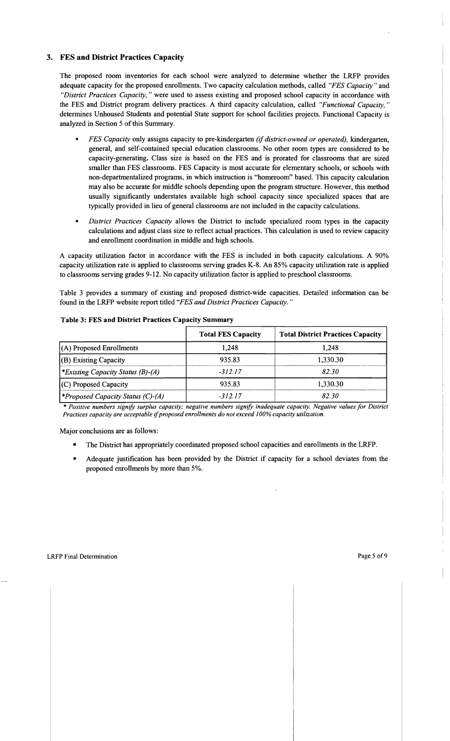## 3. FES and District Practices Capacity

The proposed room inventories for each school were analyzed to determine whether the LRFP provides adequate capacity for the proposed enrollments. Two capacity calculation methods, called *"FES Capacity"* and *"District Practices Capacity,* " were used to assess existing and proposed school capacity in accordance with the FES and District program delivery practices. A third capacity calculation, called *"Functional Capacity*," determines Unhoused Students and potential State support for school facilities projects. Functional Capacity is analyzed in Section 5 of this Summary.

- *FES Capacity* only assigns capacity to pre-kindergarten *(if district-owned or operated),* kindergarten, general, and self-contained special education classrooms. No other room types are considered to be capacity-generating. Class size is based on the FES and is prorated for classrooms that are sized smaller than FES classrooms. FES Capacity is most accurate for elementary schools, or schools with non-departmentalized programs, in which instruction is "homeroom" based. This capacity calculation may also be accurate for middle schools depending upon the program structure. However, this method usually significantly understates available high school capacity since specialized spaces that are typically provided in lieu of general classrooms are not included in the capacity calculations.
- *District Practices Capacity* allows the District to include specialized room types in the capacity calculations and adjust class size to reflect actual practices. This calculation is used to review capacity and enrollment coordination in middle and high schools.

A capacity utilization factor in accordance with the FES is included in both capacity calculations. A 90% capacity utilization rate is applied to classrooms serving grades K-8. An 85% capacity utilization rate is applied to classrooms serving grades 9-12. No capacity utilization factor is applied to preschool classrooms.

Table 3 provides a summary of existing and proposed district-wide capacities. Detailed information can be found in the LRFP website report titled *"FES and District Practices Capacity. "* 

|                                          | <b>Total FES Capacity</b> | <b>Total District Practices Capacity</b> |
|------------------------------------------|---------------------------|------------------------------------------|
| $(A)$ Proposed Enrollments               | l.248                     | 1.248                                    |
| $ $ (B) Existing Capacity                | 935.83                    | 1,330.30                                 |
| <i>*Existing Capacity Status (B)-(A)</i> | $-312.17$                 | 82.30                                    |
| $(C)$ Proposed Capacity                  | 935.83                    | 1,330.30                                 |
| <i>*Proposed Capacity Status (C)-(A)</i> | -31217                    | 82.30.                                   |

#### Table 3: FES and District Practices Capacity Summary

\* *Positive numbers signify surplus capacity; negative numbers signify inadequate capacity. Negative values for District Practices capacity are acceptable* if*proposed enrollments do not exceed 100% capacity utilization.* 

Major conclusions are as follows:

- The District has appropriately coordinated proposed school capacities and enrollments in the LRFP.
- Adequate justification has been provided by the District if capacity for a school deviates from the proposed enrollments by more than 5%.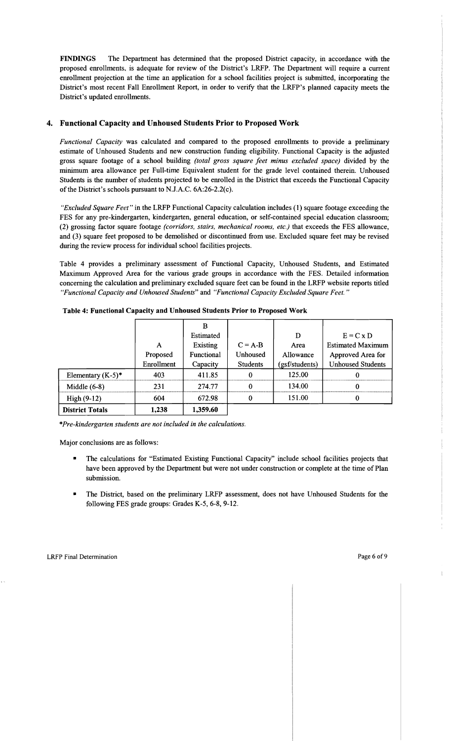FINDINGS The Department has determined that the proposed District capacity, in accordance with the proposed enrollments, is adequate for review of the District's LRFP. The Department will require a current enrollment projection at the time an application for a school facilities project is submitted, incorporating the District's most recent Fall Enrollment Report, in order to verify that the LRFP's planned capacity meets the District's updated enrollments.

## 4. Functional Capacity and Unhoused Students Prior to Proposed Work

*Functional Capacity* was calculated and compared to the proposed enrollments to provide a preliminary estimate of Unhoused Students and new construction funding eligibility. Functional Capacity is the adjusted gross square footage of a school building *(total gross square feet minus excluded space)* divided by the minimum area allowance per Full-time Equivalent student for the grade level contained therein. Unhoused Students is the number of students projected to be enrolled in the District that exceeds the Functional Capacity of the District's schools pursuant to N.J.A.C.  $6A:26-2.2(c)$ .

*"Excluded Square Feet"* in the LRFP Functional Capacity calculation includes (1) square footage exceeding the FES for any pre-kindergarten, kindergarten, general education, or self-contained special education classroom; (2) grossing factor square footage *(corridors, stairs, mechanical rooms, etc.)* that exceeds the FES allowance, and (3) square feet proposed to be demolished or discontinued from use. Excluded square feet may be revised during the review process for individual school facilities projects.

Table 4 provides a preliminary assessment of Functional Capacity, Unhoused Students, and Estimated Maximum Approved Area for the various grade groups in accordance with the FES. Detailed information concerning the calculation and preliminary excluded square feet can be found in the LRFP website reports titled *"Functional Capacity and Unhoused Students"* and *"Functional Capacity Excluded Square Feet."* 

|                        |            | B                 |                 |                |                          |
|------------------------|------------|-------------------|-----------------|----------------|--------------------------|
|                        |            | Estimated         |                 | D              | $E = C x D$              |
|                        | А          | Existing          | $C = A-B$       | Area           | <b>Estimated Maximum</b> |
|                        | Proposed   | <b>Functional</b> | Unhoused        | Allowance      | Approved Area for        |
|                        | Enrollment | Capacity          | <b>Students</b> | (gsf/students) | <b>Unhoused Students</b> |
| Elementary $(K-5)^*$   | 403        | 411.85            | -0              | 125.00         | 0                        |
| Middle $(6-8)$         | 231        | 274.77            | $\Omega$        | 134.00         |                          |
| $High (9-12)$          | 604        | 672.98            | 0               | 151.00         | $\Omega$                 |
| <b>District Totals</b> | 1,238      | 1,359.60          |                 |                |                          |

Table 4: Functional Capacity and Unhoused Students Prior to Proposed Work

*\*Pre-kindergarten students are not included in the calculations.* 

Major conclusions are as follows:

- The calculations for "Estimated Existing Functional Capacity" include school facilities projects that have been approved by the Department but were not under construction or complete at the time of Plan submission.
- The District, based on the preliminary LRFP assessment, does not have Unhoused Students for the following FES grade groups: Grades K-5, 6-8, 9-12.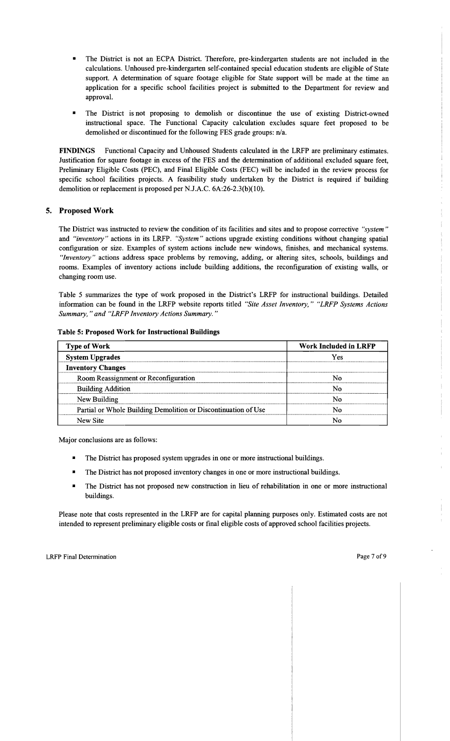- The District is not an ECPA District. Therefore, pre-kindergarten students are not included in the calculations. Unhoused pre-kindergarten self-contained special education students are eligible of State support. A determination of square footage eligible for State support will be made at the time an application for a specific school facilities project is submitted to the Department for review and approval.
- The District is not proposing to demolish or discontinue the use of existing District-owned instructional space. The Functional Capacity calculation excludes square feet proposed to be demolished or discontinued for the following FES grade groups: n/a.

FINDINGS Functional Capacity and Unhoused Students calculated in the LRFP are preliminary estimates. Justification for square footage in excess of the FES and the determination of additional excluded square feet, Preliminary Eligible Costs (PEC), and Final Eligible Costs (FEC) will be included in the review process for specific school facilities projects. A feasibility study undertaken by the District is required if building demolition or replacement is proposed per NJ.A.C. 6A:26-2.3(b)(10).

## 5. Proposed Work

The District was instructed to review the condition of its facilities and sites and to propose corrective *"system"*  and *"inventory"* actions in its LRFP. *"System"* actions upgrade existing conditions without changing spatial configuration or size. Examples of system actions include new windows, finishes, and mechanical systems. "Inventory" actions address space problems by removing, adding, or altering sites, schools, buildings and rooms. Examples of inventory actions include building additions, the reconfiguration of existing walls, or changing room use.

Table 5 summarizes the type of work proposed in the District's LRFP for instructional buildings. Detailed information can be found in the LRFP website reports titled *"Site Asset Inventory," "LRFP Systems Actions Summary,* " *and "LRFP Inventory Actions Summary. "* 

| <b>Type of Work</b>                                            | <b>Work Included in LRFP</b> |
|----------------------------------------------------------------|------------------------------|
| <b>System Upgrades</b>                                         | Yes                          |
| <b>Inventory Changes</b>                                       |                              |
| Room Reassignment or Reconfiguration                           | Nο                           |
| <b>Building Addition</b>                                       | N٥                           |
| New Building                                                   | N٥                           |
| Partial or Whole Building Demolition or Discontinuation of Use | Ν٥                           |
| New Site                                                       |                              |

#### Table 5: Proposed Work for Instructional Buildings

Major conclusions are as follows:

- The District has proposed system upgrades in one or more instructional buildings.
- The District has not proposed inventory changes in one or more instructional buildings.
- The District has not proposed new construction in lieu of rehabilitation in one or more instructional buildings.

Please note that costs represented in the LRFP are for capital planning purposes only. Estimated costs are not intended to represent preliminary eligible costs or final eligible costs of approved school facilities projects.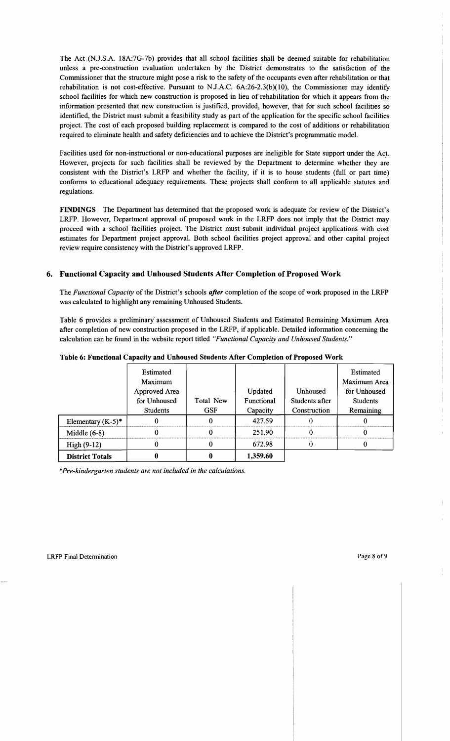The Act (N.J.S.A. 18A:7G-7b) provides that all school facilities shall be deemed suitable for rehabilitation unless a pre-construction evaluation undertaken by the District demonstrates to the satisfaction of the Commissioner that the structure might pose a risk to the safety of the occupants even after rehabilitation or that rehabilitation is not cost-effective. Pursuant to N.J.A.C. 6A:26-2.3(b)(10), the Commissioner may identify school facilities for which new construction is proposed in lieu of rehabilitation for which it appears from the information presented that new construction is justified, provided, however, that for such school facilities so identified, the District must submit a feasibility study as part of the application for the specific school facilities project. The cost of each proposed building replacement is compared to the cost of additions or rehabilitation required to eliminate health and safety deficiencies and to achieve the District's programmatic model.

Facilities used for non-instructional or non-educational purposes are ineligible for State support under the *Acr*  However, projects for such facilities shall be reviewed by the Department to determine whether they are consistent with the District's LRFP and whether the facility, if it is to house students (full or part time) conforms to educational adequacy requirements. These projects shall conform to all applicable statutes and regulations.

FINDINGS The Department has determined that the proposed work is adequate for review of the District's LRFP. However, Department approval of proposed work in the LRFP does not imply that the District may proceed with a school. facilities project. The District must submit individual project applications with cost estimates for Department project approval. Both school facilities project approval and other capital project review require consistency with the District's approved LRFP.

#### 6. Functional Capacity and Unhoused Students After Completion of Proposed Work

The *Functional Capacity* of the District's schools *after* completion of the scope of work proposed in the LRFP was calculated to highlight any remaining Unhoused Students.

Table 6 provides a preliminary' assessment of Unhoused Students and Estimated Remaining Maximum Area after completion of new construction proposed in the LRFP, if applicable. Detailed information concerning the calculation can be found in the website report titled *"Functional Capacity and Unhoused Students."* 

|                        | Estimated<br>Maximum |            |            |                | Estimated<br>Maximum Area |
|------------------------|----------------------|------------|------------|----------------|---------------------------|
|                        | Approved Area        |            | Updated    | Unhoused       | for Unhoused              |
|                        | for Unhoused         | Total New  | Functional | Students after | <b>Students</b>           |
|                        | <b>Students</b>      | <b>GSF</b> | Capacity   | Construction   | Remaining                 |
| Elementary $(K-5)^*$   |                      | 0          | 427.59     | 0              |                           |
| Middle $(6-8)$         |                      |            | 251.90     |                |                           |
| $High(9-12)$           |                      |            | 672.98     |                |                           |
| <b>District Totals</b> |                      |            | 1,359.60   |                |                           |

Table 6: Functional Capacity and Unhoused Students After Completion of Proposed Work

*\*Pre-kindergarten students are not included in the calculations.*